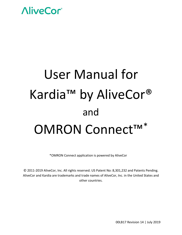

# User Manual for Kardia™ by AliveCor® and OMRON Connect™\*

\*OMRON Connect application is powered by AliveCor

© 2011-2019 AliveCor, Inc. All rights reserved. US Patent No: 8,301,232 and Patents Pending. AliveCor and Kardia are trademarks and trade names of AliveCor, Inc. in the United States and other countries.

00LB17 Revision 14 | July 2019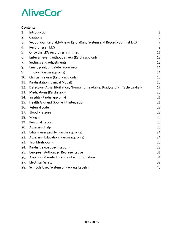### **Contents**

| 1.  | Introduction                                                                                              | 3  |
|-----|-----------------------------------------------------------------------------------------------------------|----|
| 2.  | Cautions                                                                                                  | 6  |
| 3.  | Set up your KardiaMobile or KardiaBand System and Record your first EKG                                   | 7  |
| 4.  | Recording an EKG                                                                                          | 9  |
| 5.  | Once the EKG recording is finished                                                                        | 11 |
| 6.  | Enter an event without an ekg (Kardia app only)                                                           | 12 |
| 7.  | Settings and Adjustments                                                                                  | 13 |
| 8.  | Email, print, or delete recordings                                                                        | 14 |
| 9.  | History (Kardia app only)                                                                                 | 14 |
| 10. | Clinician review (Kardia app only)                                                                        | 15 |
| 11. | Kardiastation (Clinical Model)                                                                            | 16 |
| 12. | Detectors (Atrial fibrillation, Normal, Unreadable, Bradycardia <sup>1</sup> , Tachycardia <sup>1</sup> ) | 17 |
| 13. | Medications (Kardia app)                                                                                  | 20 |
| 14. | Insights (Kardia app only)                                                                                | 21 |
| 15. | Health App and Google Fit Integration                                                                     | 21 |
| 16. | Referral code                                                                                             | 22 |
| 17. | <b>Blood Pressure</b>                                                                                     | 22 |
| 18. | Weight                                                                                                    | 23 |
| 19. | Personal Report                                                                                           | 23 |
| 20. | <b>Accessing Help</b>                                                                                     | 23 |
| 21. | Editing user profile (Kardia app only)                                                                    | 24 |
| 22. | Accessing Education (Kardia app only)                                                                     | 24 |
| 23. | Troubleshooting                                                                                           | 25 |
| 24. | Kardia Device Specifications                                                                              | 29 |
| 25. | European Authorized Representative                                                                        | 31 |
| 26. | AliveCor (Manufacturer) Contact Information                                                               | 31 |
| 27. | <b>Electrical Safety</b>                                                                                  | 32 |
| 28. | Symbols Used System or Package Labeling                                                                   | 40 |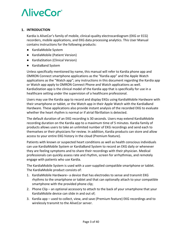### **1. INTRODUCTION**

Kardia is AliveCor's family of mobile, clinical-quality electrocardiogram (EKG or ECG) recorders, mobile applications, and EKG data processing analytics. This User Manual contains instructions for the following products:

- KardiaMobile System
- KardiaMobile (Patient Version)
- KardiaStation (Clinical Version)
- KardiaBand System

Unless specifically mentioned by name, this manual will refer to Kardia phone app and OMRON Connect smartphone applications as the "Kardia app" and the Apple Watch applications as the "Watch app"; any instructions in this document regarding the Kardia app or Watch app apply to OMRON Connect Phone and Watch applications as well. KardiaStation app is the clinical model of the Kardia app that is specifically for use in a healthcare setting under the supervision of a healthcare professional.

Users may use the Kardia app to record and display EKGs using KardiaMobile Hardware with their smartphone or tablet, or the Watch app in their Apple Watch with the KardiaBand Hardware. These applications also provide instant analysis of the recorded EKG to evaluate whether the heart rhythm is normal or if atrial fibrillation is detected.

The default duration of an EKG recording is 30 seconds. Users may extend KardiaMobile recording duration on the Kardia app to a maximum time of 5 minutes. Kardia family of products allows users to take an unlimited number of EKG recordings and send each to themselves or their physicians for review. In addition, Kardia products can store and allow access to your entire EKG history in the cloud (Premium feature).

Patients with known or suspected heart conditions as well as health conscious individuals can use KardiaMobile System or KardiaBand System to record an EKG daily or whenever they are feeling symptoms and to share their recordings with their physician. Medical professionals can quickly assess rate and rhythm, screen for arrhythmias, and remotely engage with patients who use Kardia.

The KardiaMobile System is used with a user-supplied compatible smartphone or tablet. The KardiaMobile product consists of:

- 1. KardiaMobile Hardware– a device that has electrodes to sense and transmit EKG rhythms to the smartphone or tablet and that can optionally attach to your compatible smartphone with the provided phone clip;
- 2. Phone Clip an optional accessory to attach to the back of your smartphone that your KardiaMobile device can slide in and out of;
- 3. Kardia app used to collect, view, and save (Premium feature) EKG recordings and to wirelessly transmit to the AliveCor server.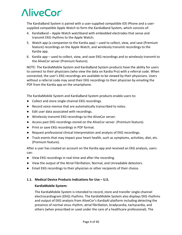The KardiaBand System is paired with a user-supplied compatible iOS iPhone and a usersupplied compatible Apple Watch to form the KardiaBand System, which consists of:

- 4. KardiaBand Apple Watch watchband with embedded electrodes that sense and transmit EKG rhythms to the Apple Watch;
- 5. Watch app (a companion to the Kardia app) used to collect, view, and save (Premium feature) recordings on the Apple Watch, and wirelessly transmit recordings to the Kardia app.
- 6. Kardia app used to collect, view, and save EKG recordings and to wirelessly transmit to the AliveCor server (Premium feature).

NOTE: The KardiaMobile System and KardiaBand System products have the ability for users to connect to their physicians (who view the data on Kardia Pro) with a referral code. When connected, the user's EKG recordings are available to be viewed by their physicians. Users without a referral code may send their EKG recordings to their physician by emailing the PDF from the Kardia app on the smartphone.

The KardiaMobile System and KardiaBand System products enable users to:

- Collect and store single-channel EKG recordings.
- Record voice memos that are automatically transcribed to notes.
- Edit user data associated with recordings.
- Wirelessly transmit EKG recordings to the AliveCor server.
- Access past EKG recordings stored on the AliveCor server. (Premium feature).
- Print or save EKG recordings in PDF format.
- Request professional clinical interpretation and analysis of EKG recordings.
- Track events that may impact your heart health, such as symptoms, activities, diet, etc. (Premium feature).

After a user has created an account on the Kardia app and received an EKG analysis, users can:

- View EKG recordings in real-time and after the recording.
- View the output of the Atrial Fibrillation, Normal, and Unreadable detectors.
- Email EKG recordings to their physician or other recipients of their choice.

### **1.1. Medical Device Products Indications for Use – U.S.**

### **KardiaMobile System:**

The KardiaMobile System is intended to record, store and transfer single-channel electrocardiogram (EKG) rhythms. The KardiaMobile System also displays EKG rhythms and output of EKG analysis from AliveCor's KardiaAI platform including detecting the presence of normal sinus rhythm, atrial fibrillation, bradycardia, tachycardia, and others (when prescribed or used under the care of a healthcare professional). The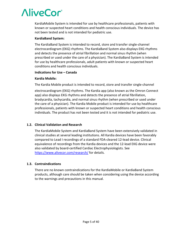KardiaMobile System is intended for use by healthcare professionals, patients with known or suspected heart conditions and health conscious individuals. The device has not been tested and is not intended for pediatric use.

### **KardiaBand System:**

The KardiaBand System is intended to record, store and transfer single-channel electrocardiogram (EKG) rhythms. The KardiaBand System also displays EKG rhythms and detects the presence of atrial fibrillation and normal sinus rhythm (when prescribed or used under the care of a physician). The KardiaBand System is intended for use by healthcare professionals, adult patients with known or suspected heart conditions and health conscious individuals.

### **Indications for Use – Canada**

### **Kardia Mobile:**

The Kardia Mobile product is intended to record, store and transfer single-channel

electrocardiogram (EKG) rhythms. The Kardia app (also known as the Omron Connect app) also displays EKG rhythms and detects the presence of atrial fibrillation, bradycardia, tachycardia, and normal sinus rhythm (when prescribed or used under the care of a physician). The Kardia Mobile product is intended for use by healthcare professionals, patients with known or suspected heart conditions and health conscious individuals. The product has not been tested and it is not intended for pediatric use.

### **1.2. Clinical Validation and Research**

The KardiaMobile System and KardiaBand System have been extensively validated in clinical studies at several leading institutions. All Kardia devices have been favorably compared to Lead I recordings of a standard FDA-cleared 12-lead device. Clinical equivalence of recordings from the Kardia devices and the 12-lead EKG device were also validated by board-certified Cardiac Electrophysiologists. See <https://www.alivecor.com/research/> for details.

### **1.3. Contraindications**

There are no known contraindications for the KardiaMobile or KardiaBand System products, although care should be taken when considering using the device according to the warnings and precautions in this manual.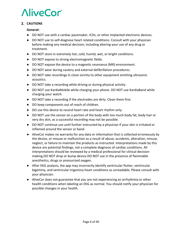### 2. CAUTIONS

### **General:**

- DO NOT use with a cardiac pacemaker, ICDs, or other implanted electronic devices.
- DO NOT use to self-diagnose heart related conditions. Consult with your physician before making any medical decision, including altering your use of any drug or treatment.
- DO NOT store in extremely hot, cold, humid, wet, or bright conditions.
- DO NOT expose to strong electromagnetic fields.
- DO NOT expose the device to a magnetic resonance (MR) environment.
- DO NOT wear during cautery and external defibrillation procedures.
- DO NOT take recordings in close vicinity to other equipment emitting ultrasonic acoustics.
- DO NOT take a recording while driving or during physical activity.
- DO NOT use KardiaMobile while charging your phone. DO NOT use KardiaBand while charging your watch.
- DO NOT take a recording if the electrodes are dirty. Clean them first.
- DO keep components out of reach of children.
- DO use this device to record heart rate and heart rhythm only.
- DO NOT use the sensor on a portion of the body with too much body fat, body hair or very dry skin, as a successful recording may not be possible.
- DO NOT continue use until further instructed by a physician if your skin is irritated or inflamed around the sensor or band.
- AliveCor makes no warranty for any data or information that is collected erroneously by the device, or misuse or malfunction as a result of abuse, accidents, alteration, misuse, neglect, or failure to maintain the products as instructed. Interpretations made by this device are potential findings, not a complete diagnosis of cardiac conditions. All interpretations should be reviewed by a medical professional for clinical decisionmaking.DO NOT drop or bump device.DO NOT use in the presence of flammable anesthetics, drugs or pressurized oxygen.
- After EKG analysis, the app may incorrectly identify ventricular flutter, ventricular bigeminy, and ventricular trigeminy heart conditions as unreadable. Please consult with your physician.
- AliveCor does not guarantee that you are not experiencing an arrhythmia or other health conditions when labeling an EKG as normal. You should notify your physician for possible changes in your health.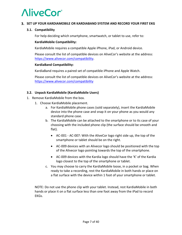### **SET UP YOUR KARDIAMOBILE OR KARDIABAND SYSTEM AND RECORD YOUR FIRST EKG**

### **3.1. Compatibility**

For help deciding which smartphone, smartwatch, or tablet to use, refer to:

### **KardiaMobile Compatibility:**

KardiaMobile requires a compatible Apple iPhone, iPad, or Android device.

Please consult the list of compatible devices on AliveCor's website at the address: [https://www.alivecor.com/compatibility.](https://www.alivecor.com/compatibility)

### **KardiaBand Compatibility:**

KardiaBand requires a paired set of compatible iPhone and Apple Watch.

Please consult the list of compatible devices on AliveCor's website at the address: <https://www.alivecor.com/compatibility>

### **3.2. Unpack KardiaMobile (KardiaMobile Users)**

- 1. Remove KardiaMobile from the box.
	- 1. Choose KardiaMobile placement.
		- a. For KardiaMobile phone cases (sold separately), insert the KardiaMobile device into the phone case and snap it on your phone as you would any standard phone case.
		- b. The KardiaMobile can be attached to the smartphone or to its case of your choosing with the included phone clip (the surface should be smooth and flat).
			- AC-001 AC-007: With the AliveCor logo right side up, the top of the smartphone or tablet should be on the right.
			- AC-009 devices with an Alivecor logo should be positioned with the top of the Alivecor logo pointing towards the top of the smartphone.
			- AC-009 devices with the Kardia logo should have the 'K' of the Kardia logo closest to the top of the smartphone or tablet.
		- c. You may choose to carry the KardiaMobile loose, in a pocket or bag. When ready to take a recording, rest the KardiaMobile in both hands or place on a flat surface with the device within 1 foot of your smartphone or tablet.

NOTE: Do not use the phone clip with your tablet. Instead, rest KardiaMobile in both hands or place it on a flat surface less than one foot away from the iPad to record EKGs.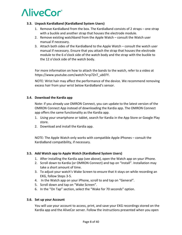### **3.3. Unpack KardiaBand (KardiaBand System Users)**

- 1. Remove KardiaBand from the box. The KardiaBand consists of 2 straps one strap with a buckle and another strap that houses the electrode module.
- 2. Remove existing watchband from the Apple Watch consult the Watch user manual if necessary.
- 3. Attach both sides of the KardiaBand to the Apple Watch consult the watch user manual if necessary. Ensure that you attach the strap that houses the electrode module to the 6 o'clock side of the watch body and the strap with the buckle to the 12 o'clock side of the watch body.

For more information on how to attach the bands to the watch, refer to a video at https://www.youtube.com/watch?v=p7ZnT\_ubEFY.

NOTE: Wrist hair may affect the performance of the device. We recommend removing excess hair from your wrist below KardiaBand's sensor.

### **3.4. Download the Kardia app**

Note: if you already use OMRON Connect, you can update to the latest version of the OMRON Connect App instead of downloading the Kardia app. The OMRON Connect app offers the same functionality as the Kardia app.

- 1. Using your smartphone or tablet, search for Kardia in the App Store or Google Play store.
- 2. Download and install the Kardia app.

NOTE: The Apple Watch only works with compatible Apple iPhones – consult the KardiaBand compatibility, if necessary.

### **3.5. Add Watch app to Apple Watch (KardiaBand System Users)**

- 1. After installing the Kardia app (see above), open the Watch app on your iPhone.
- 2. Scroll down to Kardia (or OMRON Connect) and tap on "Install". Installation may take a short amount of time.
- 3. To adjust your watch's Wake Screen to ensure that it stays on while recording an EKG, follow Steps 3-5.
- 4. In the Watch app on your iPhone, scroll to and tap on "General".
- 5. Scroll down and tap on "Wake Screen".
- 6. In the "On Tap" section, select the "Wake for 70 seconds" option.

### **3.6. Set up your Account**

You will use your account to access, print, and save your EKG recordings stored on the Kardia app and the AliveCor server. Follow the instructions presented when you open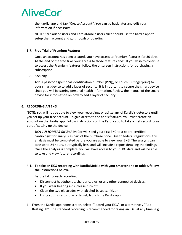

the Kardia app and tap "Create Account". You can go back later and edit your information if necessary.

NOTE: KardiaBand users and KardiaMobile users alike should use the Kardia app to setup their account and go through onboarding.

### **3.7. Free Trial of Premium Features**

Once an account has been created, you have access to Premium features for 30 days. At the end of the free trial, your access to those features ends. If you wish to continue to access the Premium features, follow the onscreen instructions for purchasing a subscription.

### **3.8. Security**

Add a passcode (personal identification number [PIN]), or Touch ID (fingerprint) to your smart device to add a layer of security. It is important to secure the smart device since you will be storing personal health information. Review the manual of the smart device for information on how to add a layer of security.

### **RECORDING AN EKG**

NOTE: You will not be able to view your recordings or utilize any of Kardia's detectors until you set up your free account. To gain access to the app's features, you must create an account on the Kardia app. Follow instructions on the Kardia app to take a first recording as part of setting up the device.

*USA CUSTOMERS ONLY*: AliveCor will send your first EKG to a board-certified cardiologist for analysis as part of the purchase price. Due to federal regulations, this analysis must be completed before you are able to view your EKG. The analysis can take up to 24 hours, but typically less, and will include a report detailing the findings. Once the analysis is complete, you will have access to your EKG data and will be able to take and view future recordings.

### **4.1. To take an EKG recording with KardiaMobile with your smartphone or tablet, follow the instructions below.**

Before taking each recording:

- Disconnect headphones, charger cables, or any other connected devices.
- If you wear hearing aids, please turn off.
- Clean the two electrodes with alcohol-based sanitizer.
- Using your smartphone or tablet, launch the Kardia app.
- 1. From the Kardia app home screen, select "Record your EKG", or alternatively "Add Resting HR". The standard recording is recommended for taking an EKG at any time, e.g.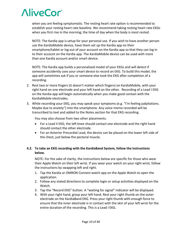when you are feeling symptomatic. The resting heart rate option is recommended to establish your resting heart rate baseline. We recommend taking resting heart rate EKGs when you first rise in the morning; the time of day when the body is most rested.

NOTE: The Kardia app is setup for your personal use. If you wish to have another person use the KardiaMobile device, have them set up the Kardia app on their smartphone/tablet or log out of your account on the Kardia app so that they can log in to their account on the Kardia app. The KardiaMobile device can be used with more than one Kardia account and/or smart device.

NOTE: The Kardia app builds a personalized model of your EKGs and will detect if someone accidently uses your smart device to record an EKG. To build this model, the app will sometimes ask if you or someone else took the EKG after completion of a recording.

- 2. Rest two or more fingers (it doesn't matter which fingers) on KardiaMobile, with your right hand on one electrode and your left hand on the other. Recording of a Lead I EKG on the Kardia app will begin automatically when you make good contact with the KardiaMobile electrodes.
- 3. While recording your EKG, you may speak your symptoms (e.g. "I'm feeling palpitations. Maybe due to anxiety") into the smartphone. Any voice memo recorded will be transcribed to text and added to the Notes section for that EKG recording.

You may also choose from two other placements:

- For a Lead II EKG, the left knee should contact one electrode and the right hand should contact the other electrode.
- For an Anterior Precordial Lead, the device can be placed on the lower left side of the chest, just below the pectoral muscle.

### **4.2. To take an EKG recording with the KardiaBand System, follow the instructions below.**

NOTE: For the sake of clarity, the instructions below are specific for those who wear their Apple Watch on their left wrist. If you wear your watch on your right wrist, follow the instructions by swapping left and right.

- 1. Tap the Kardia or OMRON Connect watch app on the Apple Watch to open the application.
- 2. Follow any stated directions to complete login or setup activities displayed on the Watch.
- 3. Tap the "Record EKG" button. A "waiting for signal" indicator will be displayed.
- 4. With your right hand, grasp your left hand. Rest your right thumb on the outer electrode on the KardiaBand EKG. Press your right thumb with enough force to ensure that the inner electrode is in contact with the skin of your left wrist for the entire duration of the recording. This is a Lead I EKG.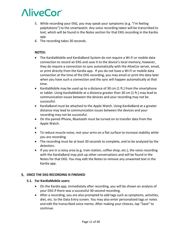- 5. While recording your EKG, you may speak your symptoms (e.g. "I'm feeling palpitations") to the smartwatch. Any voice recording taken will be transcribed to text, which will be found in the Notes section for that EKG recording in the Kardia app.
- 6. The recording takes 30 seconds.

### **NOTES:**

- The KardiaMobile and KardiaBand System do not require a Wi-Fi or mobile data connection to record an EKG and save it to the device's local memory; however, they do require a connection to sync automatically with the AliveCor server, email, or print directly from the Kardia app. If you do not have a Wi-Fi or mobile data connection at the time of the EKG recording, you may email or print the data later when you have such a connection and the sync will happen automatically at that time.
- KardiaMobile may be used up to a distance of 30 cm (1 ft.) from the smartphone or tablet. Using KardiaMobile at a distance greater than 30 cm (1 ft.) may lead to communication issues between the devices and your recording may not be successful.
- KardiaBand must be attached to the Apple Watch. Using KardiaBand at a greater distance may lead to communication issues between the devices and your recording may not be successful.
- On the paired iPhone, Bluetooth must be turned on to transfer data from the Apple Watch.
- •
- To reduce muscle noise, rest your arms on a flat surface to increase stability while you are recording.
- The recording must be at least 30 seconds to complete, and to be analyzed by the detectors.
- If you are in a noisy area (e.g. train station, coffee shop, etc.), the voice recording with the KardiaBand may pick up other conversations and will be found in the Notes for that EKG. You may edit the Notes to remove any unwanted text in the Kardia app.

### **ONCE THE EKG RECORDING IS FINISHED**

### **5.1. For KardiaMobile users:**

- On the Kardia app, immediately after recording, you will be shown an analysis of your EKG if there was a successful 30-second recording.
- After a recording, you are also prompted to add tags such as symptoms, activities, diet, etc. to the Data Entry screen. You may also enter personalized tags or notes and edit the transcribed voice memo. After making your choices, tap "Save" to continue.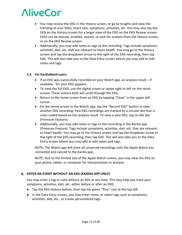- You may review the EKG in the History screen, or go to Insights and view the trending of your EKGs, heart rate, symptoms, activities, etc. You may also tap the EKG on the History screen for a larger view of the EKG on the EKG Review screen. EKGs can be starred, emailed, shared, or sent for analysis from the History screen, or on the EKG Review screen.
- Additionally, you may add notes or tags to the recording. Tags include symptoms, activities, diet, etc. that are relevant to heart health. You may go to the History screen and tap the dropdown arrow to the right of the EKG recording, then tap Edit. This will also take you to the Data Entry screen where you may add or edit notes and tags.

### **5.2. For KardiaBand users:**

- If an EKG was successfully recorded on your Watch app, an analysis result if available - for your EKG appears.
- To view the full EKG, use the digital crown or swipe right to left on the result screen. These actions both will scroll through the EKG.
- Return to the home screen from an EKG by tapping "Close" in the upper left corner.
- On the home screen in the Watch app, tap the "Record EKG" button to take another EKG recording. Past EKG recordings are marked by a circular dot that is color-coded based on the analysis result. To view a past EKG, tap on the dot (Premium Feature).
- Additionally, you may add notes or tags to the recording in the Kardia app (Premium Feature). Tags include symptoms, activities, diet, etc. that are relevant to heart health. You may go to the History screen and tap the dropdown arrow to the right of the EKG recording, then tap Edit. This will also take you to the Data Entry screen where you may add or edit notes and tags.

NOTE: The Watch app will store all unsynced recordings until the Apple Watch has connected and synced to the Kardia app.

NOTE: Due to the limited size of the Apple Watch screen, you may view the EKG on your phone, tablet, or computer for interpretation or analysis.

### **ENTER AN EVENT WITHOUT AN EKG (KARDIA APP ONLY)**

You may enter a tag or note without an EKG at any time. This may help you track your symptoms, activities, diet, etc. either before or after an EKG:

- Tap the EKG History button, then tap the green "Plus" icon at the top left.
- In the Data Entry screen, you may enter notes, or select tags such as symptoms, activities, diet, etc., or create personalized tags.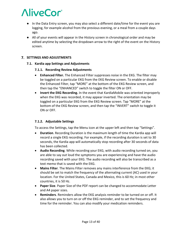- In the Data Entry screen, you may also select a different date/time for the event you are logging, for example alcohol from the previous evening, or a meal from a couple days ago.
- All of your events will appear in the History screen in chronological order and may be edited anytime by selecting the dropdown arrow to the right of the event on the History screen.

### **SETTINGS AND ADJUSTMENTS**

### **7.1. Kardia app Settings and Adjustments**

### **7.1.1. Recording Review Adjustments**

- **Enhanced Filter.** The Enhanced Filter suppresses noise in the EKG. The filter may be toggled on a particular EKG from the EKG Review screen. To enable or disable the Enhanced Filter, tap "MORE" at the bottom of the EKG Review screen, and then tap the "ENHANCED" switch to toggle the filter ON or OFF.
- **Invert the EKG Recording.** In the event that KardiaMobile was oriented improperly when the EKG was recorded, it may appear inverted. The orientation may be toggled on a particular EKG from the EKG Review screen. Tap "MORE" at the bottom of the EKG Review screen, and then tap the "INVERT" switch to toggle it ON or OFF.

### **7.1.2. Adjustable Settings**

To access the Settings, tap the Menu icon at the upper left and then tap "Settings".

- **Duration**. Recording Duration is the maximum length of time the Kardia app will record a single EKG recording. For example, if the recording duration is set to 30 seconds, the Kardia app will automatically stop recording after 30 seconds of data has been collected.
- **Audio Recording**. While recording your EKG, with audio recording turned on, you are able to say out loud the symptoms you are experiencing and have the audio recording saved with your EKG. The audio recording will also be transcribed as a text memo that is saved with the EKG.
- **Mains Filter**. The Mains Filter removes any mains interference from the EKG; it should be set to match the frequency of the alternating current (AC) used in your location. For the United States, Canada and Mexico, this is 60 Hz; in most other countries, it is 50 Hz.
- **Paper Size**. Paper Size of the PDF report can be changed to accommodate Letter and A4 paper sizes.
- **Reminders**. Reminders allow the EKG analysis reminder to be turned on or off. It also allows you to turn on or off the EKG reminder, and to set the frequency and time for the reminder. You can also modify your medication reminders.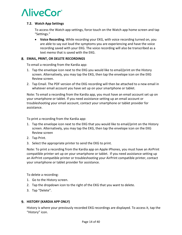### **7.2. Watch App Settings**

To access the Watch app settings, force touch on the Watch app home screen and tap "Settings."

• **Voice Recording.** While recording your EKG, with voice recording turned on, you are able to say out loud the symptoms you are experiencing and have the voice recording saved with your EKG. The voice recording will also be transcribed as a text memo that is saved with the EKG.

### **EMAIL, PRINT, OR DELETE RECORDINGS**

To email a recording from the Kardia app:

- 1. Tap the envelope icon next to the EKG you would like to email/print on the History screen. Alternatively, you may tap the EKG, then tap the envelope icon on the EKG Review screen.
- 2. Tap Email. The PDF version of the EKG recording will then be attached to a new email in whatever email account you have set up on your smartphone or tablet.

Note: To email a recording from the Kardia app, you must have an email account set up on your smartphone or tablet. If you need assistance setting up an email account or troubleshooting your email account, contact your smartphone or tablet provider for assistance.

To print a recording from the Kardia app:

- 1. Tap the envelope icon next to the EKG that you would like to email/print on the History screen. Alternatively, you may tap the EKG, then tap the envelope icon on the EKG Review screen
- 2. Tap Print.
- 3. Select the appropriate printer to send the EKG to print.

Note: To print a recording from the Kardia app on Apple iPhones, you must have an AirPrint compatible printer set up on your smartphone or tablet. If you need assistance setting up an AirPrint compatible printer or troubleshooting your AirPrint compatible printer, contact your smartphone or tablet provider for assistance.

To delete a recording:

- 1. Go to the History screen.
- 2. Tap the dropdown icon to the right of the EKG that you want to delete.
- 3. Tap "Delete".

### **HISTORY (KARDIA APP ONLY)**

History is where your previously recorded EKG recordings are displayed. To access it, tap the "History" icon.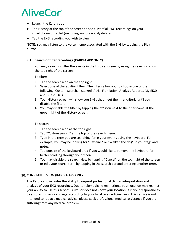- Launch the Kardia app.
- Tap History at the top of the screen to see a list of all EKG recordings on your smartphone or tablet (excluding any previously deleted).
- Tap the EKG recording you wish to view.

NOTE: You may listen to the voice memo associated with the EKG by tapping the Play button.

### **9.1. Search or filter recordings (KARDIA APP ONLY)**

You may search or filter the events in the History screen by using the search icon on the top right of the screen.

To filter:

- 1. Tap the search icon on the top right.
- 2. Select one of the existing filters. The filters allow you to choose one of the following: Custom Search…, Starred, Atrial Fibrillation, Analysis Reports, My EKGs, and Guest EKGs.
- 3. Your History screen will show you EKGs that meet the filter criteria until you disable the filter.
- 4. You may disable the filter by tapping the "x" icon next to the filter name at the upper right of the History screen.

### To search:

- 1. Tap the search icon at the top right.
- 2. Tap "Custom Search" at the top of the search menu.
- 3. Type in the term you are searching for in your events using the keyboard. For example, you may be looking for "Caffeine" or "Walked the dog" in your tags and notes.
- 4. Tap outside of the keyboard area if you would like to remove the keyboard for better scrolling through your records.
- 5. You may disable the search view by tapping "Cancel" on the top right of the screen or edit your search term by tapping in the search bar and entering another term.

### **CLINICIAN REVIEW (KARDIA APP ONLY)**

The Kardia app includes the ability to request professional clinical interpretation and analysis of your EKG recordings. Due to telemedicine restrictions, your location may restrict your ability to use this service. AliveCor does not know your location; it is your responsibility to ensure this service is legal according to your local telemedicine laws. This service is not intended to replace medical advice, please seek professional medical assistance if you are suffering from any medical problem.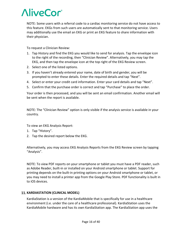NOTE: Some users with a referral code to a cardiac monitoring service do not have access to this feature. EKGs from such users are automatically sent to that monitoring service. Users may additionally use the email an EKG or print an EKG feature to share information with their physician.

To request a Clinician Review:

- 1. Tap History and find the EKG you would like to send for analysis. Tap the envelope icon to the right of the recording, then "Clinician Review". Alternatively, you may tap the EKG, and then tap the envelope icon at the top right of the EKG Review screen.
- 2. Select one of the listed options.
- 3. If you haven't already entered your name, date of birth and gender, you will be prompted to enter these details. Enter the required details and tap "Next".
- 4. Select or enter your credit card information. Enter your card details and tap "Next".
- 5. Confirm that the purchase order is correct and tap "Purchase" to place the order.

Your order is then processed, and you will be sent an email confirmation. Another email will be sent when the report is available.

NOTE: The "Clinician Review" option is only visible if the analysis service is available in your country.

To view an EKG Analysis Report:

- 1. Tap "History".
- 2. Tap the desired report below the EKG.

Alternatively, you may access EKG Analysis Reports from the EKG Review screen by tapping "Analysis".

NOTE: To view PDF reports on your smartphone or tablet you must have a PDF reader, such as Adobe Reader, built-in or installed on your Android smartphone or tablet. Support for printing depends on the built-in printing options on your Android smartphone or tablet, or you may need to install a printer app from the Google Play Store. PDF functionality is built in to iOS devices.

### **11. KARDIASTATION (CLINICAL MODEL)**

KardiaStation is a version of the KardiaMobile that is specifically for use in a healthcare environment (i.e. under the care of a healthcare professional). KardiaStation uses the KardiaMobile hardware and has its own KardiaStation app. The KardiaStation app uses the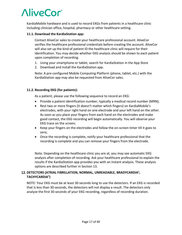KardiaMobile hardware and is used to record EKGs from patients in a healthcare clinic including clinician office, hospital, pharmacy or other healthcare setting.

### **11.1. Download the KardiaStation app:**

Contact AliveCor sales to create your healthcare professional account. AliveCor verifies the healthcare professional credentials before creating the account. AliveCor will also set up the kind of patient ID the healthcare clinic will require for their identification. You may decide whether EKG analysis should be shown to each patient upon completion of recording.

- 1. Using your smartphone or tablet, search for KardiaStation in the App Store
- 2. Download and install the KardiaStation app.

Note: A pre-configured Mobile Computing Platform (phone, tablet, etc.) with the KardiaStation app may also be requested from AliveCor sales.

### **11.2. Recording EKG (for patients):**

As a patient, please use the following sequence to record an EKG:

- Provide a patient identification number, typically a medical record number (MRN);
- Rest two or more fingers (it doesn't matter which fingers) on KardiaMobile's electrodes, with your right hand on one electrode and your left hand on the other. As soon as you place your fingers from each hand on the electrodes and make good contact, the EKG recording will begin automatically. You will observe your EKG trace on the screen;
- Keep your fingers on the electrodes and follow the on-screen timer till it goes to zero;
- Once the recording is complete, notify your healthcare professional that the recording is complete and you can remove your fingers from the electrode.

Note: Depending on the healthcare clinic you are at, you may see automatic EKG analysis after completion of recording. Ask your healthcare professional to explain the results if the KardiaStation app provides you with an instant analysis. These analysis options are described further in Section 13.

### **DETECTORS (ATRIAL FIBRILLATION, NORMAL, UNREADABLE, BRADYCARDIA1, TACHYCARDIA1)**

NOTE: Your EKG must be at least 30 seconds long to use the detectors. If an EKG is recorded that is less than 30 seconds, the detectors will not display a result. The detectors only analyze the first 30 seconds of your EKG recording, regardless of recording duration.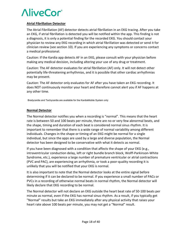

### **Atrial Fibrillation Detector**

The Atrial Fibrillation (AF) detector detects atrial fibrillation in an EKG tracing. After you take an EKG, if atrial fibrillation is detected you will be notified within the app. This finding is not a diagnosis, it is only a potential finding for the recorded EKG. You should contact your physician to review any EKG recording in which atrial fibrillation was detected or send it for clinician review (see section 10). If you are experiencing any symptoms or concerns contact a medical professional.

Caution: If the Kardia app detects AF in an EKG, please consult with your physician before making any medical decision, including altering your use of any drug or treatment.

Caution: The AF detector evaluates for atrial fibrillation (AF) only. It will not detect other potentially life-threatening arrhythmias, and it is possible that other cardiac arrhythmias may be present.

Caution: The AF detector only evaluates for AF after you have taken an EKG recording. It does NOT continuously monitor your heart and therefore cannot alert you if AF happens at any other time.

Bradycardia and Tachycardia are available for the KardiaMobile System only

### **Normal Detector**

The Normal detector notifies you when a recording is "normal". This means that the heart rate is between 50 and 100 beats per minute, there are no or very few abnormal beats, and the shape, timing and duration of each beat is considered normal sinus rhythm. It is important to remember that there is a wide range of normal variability among different individuals. Changes in the shape or timing of an EKG might be normal for a single individual, but since the apps are used by a large and diverse population, the Normal detector has been designed to be conservative with what it detects as normal.

If you have been diagnosed with a condition that affects the shape of your EKG (e.g., intraventricular conduction delay, left or right bundle branch block, Wolff-Parkinson-White Syndrome, etc.), experience a large number of premature ventricular or atrial contractions (PVC and PAC), are experiencing an arrhythmia, or took a poor-quality recording it is unlikely that you will be notified that your EKG is normal.

It is also important to note that the Normal detector looks at the entire signal before determining if it can be declared to be normal. If you experience a small number of PACs or PVCs in a recording of otherwise normal beats in normal rhythm, the Normal detector will likely declare that EKG recording to be normal.

The Normal detector will not declare an EKG outside the heart beat rate of 50-100 beats per minute as normal, even if the EKG has normal sinus rhythm. As a result, if you typically get "Normal" results but take an EKG immediately after any physical activity that raises your heart rate above 100 beats per minute, you may not get a "Normal" result.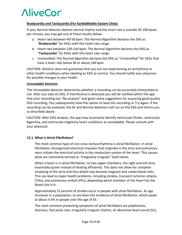### **Bradycardia and Tachycardia (For KardiaMobile System Only):**

If your Normal detector detects normal rhythm and the heart rate is outside 50-100 beats per minute, you may get one of these results below:

- a. Heart rate between 40-50 bpm: The Normal Algorithm declares the EKG as "**Bradycardia**" for EKGs with this heart rate range.
- b. Heart rate between 100-140 bpm: The Normal Algorithm declares the EKG as "**Tachycardia**" for EKGs with this heart rate range.
- c. Unclassified: The Normal Algorithm declares the EKG as "Unclassified" for EKGs that have a heart rate below 40 or above 140 bpm.

CAUTION: AliveCor does not guarantee that you are not experiencing an arrhythmia or other health conditions when labeling an EKG as normal. You should notify your physician for possible changes in your health.

### **Unreadable Detector**

The Unreadable detector determines whether a recording can be accurately interpreted or not. After you take an EKG, if interference is detected you will be notified within the app that your recording has "No analysis" and given some suggestions for acquiring good quality EKG recording. You subsequently have the option to Save the recording or Try Again. If the recording can be analyzed, the AF and Normal detectors will run on the EKG and inform you as described above.

CAUTION: After EKG analysis, the app may incorrectly identify ventricular flutter, ventricular bigeminy, and ventricular trigeminy heart conditions as unreadable. Please consult with your physician.

### **12.1. What is Atrial Fibrillation?**

The most common type of non-sinus tachyarrhythmia is atrial fibrillation. In atrial fibrillation, disorganized electrical impulses that originate in the atria and pulmonary veins initiate the electrical activity in the conduction system of the heart. This causes what are commonly termed as "irregularly irregular" heart beats.

When a heart is in atrial fibrillation, its two upper chambers, the right and left atria, essentially quiver instead of beating efficiently. This does not allow for complete emptying of the atria and thus blood may become stagnant and create blood clots. This can lead to major health problems, including strokes, transient ischemic attacks (TIAs), and pulmonary emboli (PEs); depending which chamber of the heart has the blood clot in it.

Approximately 15 percent of strokes occur in people with atrial fibrillation. As age increases in a population, so too does the incidence of atrial fibrillation, which peaks at about 3-5% in people over the age of 65.

The most common presenting symptoms of atrial fibrillation are palpitations, dizziness, fast pulse rate, irregularly irregular rhythm, an abnormal heart sound (S1),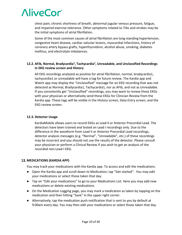chest pain, chronic shortness of breath, abnormal jugular venous pressure, fatigue, and impaired exercise tolerance. Other symptoms related to TIAs and strokes may be the initial symptoms of atrial fibrillation.

Some of the most common causes of atrial fibrillation are long-standing hypertension, congestive heart disease, cardiac valvular lesions, myocardial infarctions, history of coronary artery bypass grafts, hyperthyroidism, alcohol abuse, smoking, diabetes mellitus, and electrolyte imbalances.

### 12.2. AFib, Normal, Bradycardia<sup>1</sup>, Tachycardia<sup>1</sup>, Unreadable, and Unclassified Recordings **in EKG review screen and History**

All EKG recordings analyzed as positive for atrial fibrillation, normal, bradycardia1, tachycardia1 or unreadable will have a tag for future review. The Kardia app and Watch app may display the "Unclassified" message for an EKG recording that was not detected as Normal, Bradycardia1, Tachycardia1, nor as AFib, and not as Unreadable. If you consistently get "Unclassified" recordings, you may want to review these EKGs with your physician or alternatively send these EKGs for Clinician Review from the Kardia app. These tags will be visible in the History screen, Data Entry screen, and the EKG review screen.

### **12.3. Detector Usage**

KardiaMobile allows users to record EKGs as Lead II or Anterior Precordial Lead. The detectors have been trained and tested on Lead I recordings only. Due to the difference in the waveform from Lead II or Anterior Precordial Lead recordings, detector analysis messages (e.g. "Normal", "Unreadable", etc.) of these recordings may be incorrect and you should not use the results of the detector. Please consult your physician or perform a Clinical Review if you wish to get an analysis of the recorded non-Lead-I EKG.

### **MEDICATIONS (KARDIA APP)**

You may track your medications with the Kardia app. To access and edit the medications:

- Open the Kardia app and scroll down to Medication; tap "Get started". You may edit your medications or select those taken that day.
- Tap on "Edit your medications" to go to your Medications List. Here you may add new medications or delete existing medications.
- On the Medication Logging page, you may mark a medication as taken by tapping on the medication and then hitting "Save" in the upper right corner.
- Alternatively, tap the medication push notification that is sent to you by default at 9:00am every day. You may then edit your medications or select those taken that day.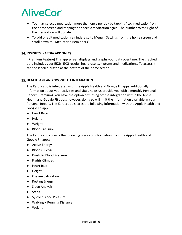- You may select a medication more than once per day by tapping "Log medication" on the home screen and tapping the specific medication again. The number to the right of the medication will update.
- To add or edit medication reminders go to Menu > Settings from the home screen and scroll down to "Medication Reminders".

### **INSIGHTS (KARDIA APP ONLY)**

(Premium Feature) This app screen displays and graphs your data over time. The graphed data includes your EKGs, EKG results, heart rate, symptoms and medications. To access it, tap the labeled button at the bottom of the home screen.

### **15. HEALTH APP AND GOOGLE FIT INTEGRATION**

The Kardia app is integrated with the Apple Health and Google Fit apps. Additionally, information about your activities and vitals helps us provide you with a monthly Personal Report (Premium). You have the option of turning off the integration within the Apple Health and Google Fit apps; however, doing so will limit the information available in your Personal Report. The Kardia app shares the following information with the Apple Health and Google Fit app:

- Heart Rate
- Height
- Weight
- Blood Pressure

The Kardia app collects the following pieces of information from the Apple Health and Google Fit apps:

- Active Energy
- Blood Glucose
- Diastolic Blood Pressure
- Flights Climbed
- Heart Rate
- Height
- Oxygen Saturation
- Resting Energy
- Sleep Analysis
- Steps
- Systolic Blood Pressure
- Walking + Running Distance
- Weight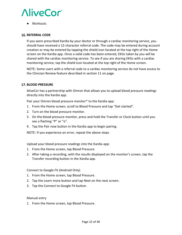

● Workouts

#### **16. REFERRAL CODE**

If you were prescribed Kardia by your doctor or through a cardiac monitoring service, you should have received a 12-character referral code. The code may be entered during account creation or may be entered by tapping the shield icon located at the top right of the Home screen on the Kardia app. Once a valid code has been entered, EKGs taken by you will be shared with the cardiac monitoring service. To see if you are sharing EKGs with a cardiac monitoring service, tap the shield icon located at the top right of the Home screen.

NOTE: Some users with a referral code to a cardiac monitoring service do not have access to the Clinician Review feature described in section 11 on page.

#### **BLOOD PRESSURE**

AliveCor has a partnership with Omron that allows you to upload blood pressure readings directly into the Kardia app.

Pair your Omron blood pressure monitor\* to the Kardia app:

- 1. From the Home screen, scroll to Blood Pressure and tap "Get started".
- 2. Turn on the blood pressure monitor.
- 3. On the blood pressure monitor, press and hold the Transfer or Clock button until you see a flashing "P" or "o".
- 4. Tap the Pair now button in the Kardia app to begin pairing.

NOTE: If you experience an error, repeat the above steps

Upload your blood pressure readings into the Kardia app:

- 1. From the Home screen, tap Blood Pressure.
- 2. After taking a recording, with the results displayed on the monitor's screen, tap the Transfer recording button in the Kardia app.

Connect to Google Fit (Android Only)

- 1. From the Home screen, tap Blood Pressure.
- 2. Tap the Learn more button and tap Next on the next screen.
- 3. Tap the Connect to Google Fit button.

Manual entry

1. From the Home screen, tap Blood Pressure.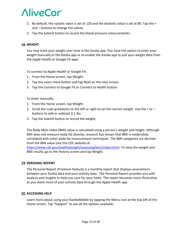- 2. By default, the systolic value is set at 120 and the diastolic value is set at 80. Tap the + and – buttons to change the values.
- 3. Tap the Submit button to record the blood pressure measurements.

### **18. WEIGHT**

You may track your weight over time in the Kardia app. You have the option to enter your weight manually or the Kardia app or to enable the Kardia app to pull your weight data from the Apple Health or Google Fit apps.

To connect to Apple Health or Google Fit:

- 1. From the Home screen, tap Weight.
- 2. Tap the Learn more button and tap Next on the next screen.
- 3. Tap the Connect to Google Fit or Connect to Health button.

To enter manually:

- 1. From the Home screen, tap Weight.
- 2. Scroll the scale gradations to the left or right to set the correct weight. Use the  $+$  or  $$ buttons to add or subtract 0.1 lbs.
- 3. Tap the Submit button to record the weight.

The Body Mass Index (BMI) value is calculated using a person's weight and height. Although BMI does not measure body fat directly, research has shown that BMI is moderately correlated with other body fat measurement techniques. The BMI categories are derived from the BMI value (see the CDC website at

[https://www.cdc.gov/healthyweight/assessing/bmi/index.html\)](https://www.cdc.gov/healthyweight/assessing/bmi/index.html). To view the weight and BMI results, go to the History screen and tap Weight.

### **19. PERSONAL REPORT**

The Personal Report (Premium feature) is a monthly report that displays associations between your Kardia data and your activity data. The Personal Report provides you with analysis and insights to help you care for your heart. The report becomes more illustrative as you share more of your activity data through the Apple Health app.

### **20. ACCESSING HELP**

Learn more about using your KardiaMobile by tapping the Menu icon at the top left of the Home screen. Tap "Support" to see all the options available.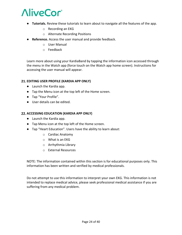- **Tutorials.** Review these tutorials to learn about to navigate all the features of the app.
	- o Recording an EKG
	- o Alternate Recording Positions
- **Reference.** Access the user manual and provide feedback.
	- o User Manual
	- o Feedback

Learn more about using your KardiaBand by tapping the information icon accessed through the menu in the Watch app (force touch on the Watch app home screen). Instructions for accessing the user manual will appear.

### **EDITING USER PROFILE (KARDIA APP ONLY)**

- Launch the Kardia app.
- Tap the Menu icon at the top left of the Home screen.
- Tap "Your Profile".
- User details can be edited.

### **ACCESSING EDUCATION (KARDIA APP ONLY)**

- Launch the Kardia app.
- Tap Menu icon at the top left of the Home screen.
- Tap "Heart Education". Users have the ability to learn about:
	- o Cardiac Anatomy
	- o What is an EKG
	- o Arrhythmia Library
	- o External Resources

NOTE: The information contained within this section is for educational purposes only. This information has been written and verified by medical professionals.

Do not attempt to use this information to interpret your own EKG. This information is not intended to replace medical advice, please seek professional medical assistance if you are suffering from any medical problem.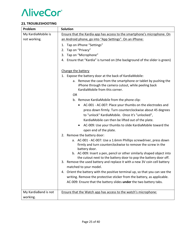### 23. TROUBLESHOOTING

| Problem              | <b>Solution</b>                                                                                                                           |  |  |
|----------------------|-------------------------------------------------------------------------------------------------------------------------------------------|--|--|
| My KardiaMobile is   | Ensure that the Kardia app has access to the smartphone's microphone. On                                                                  |  |  |
| not working.         | an Android phone, go into "App Settings". On an iPhone:                                                                                   |  |  |
|                      | 1. Tap on iPhone "Settings"                                                                                                               |  |  |
|                      | Tap on "Privacy"<br>2.                                                                                                                    |  |  |
|                      | Tap on "Microphone"<br>3.                                                                                                                 |  |  |
|                      | 4. Ensure that "Kardia" is turned on (the background of the slider is green)                                                              |  |  |
|                      | Change the battery                                                                                                                        |  |  |
|                      | 1. Expose the battery door at the back of KardiaMobile:                                                                                   |  |  |
|                      | a. Remove the case from the smartphone or tablet by pushing the                                                                           |  |  |
|                      | iPhone through the camera cutout, while peeling back<br>KardiaMobile from this corner.                                                    |  |  |
|                      | <b>OR</b>                                                                                                                                 |  |  |
|                      | b. Remove KardiaMobile from the phone clip:                                                                                               |  |  |
|                      | AC-001 - AC-007: Place your thumbs on the electrodes and<br>٠                                                                             |  |  |
|                      | press down firmly. Turn counterclockwise about 45 degrees                                                                                 |  |  |
|                      | to "unlock" KardiaMobile. Once it's "unlocked",                                                                                           |  |  |
|                      | KardiaMobile can then be lifted out of the plate.                                                                                         |  |  |
|                      | AC-009: Use your thumbs to slide KardiaMobile toward the<br>$\bullet$                                                                     |  |  |
|                      | open end of the plate.                                                                                                                    |  |  |
|                      | 2. Remove the battery door:                                                                                                               |  |  |
|                      | a. AC-001 - AC-007: Use a 1.6mm Phillips screwdriver, press down<br>firmly and turn counterclockwise to remove the screw in the           |  |  |
|                      | battery door.                                                                                                                             |  |  |
|                      | b. AC-009: Insert a pen, pencil or other similarly shaped object into<br>the cutout next to the battery door to pop the battery door off. |  |  |
|                      | Remove the used battery and replace it with a new 3V coin cell battery<br>3.                                                              |  |  |
|                      | matched to your model.                                                                                                                    |  |  |
|                      | Orient the battery with the positive terminal up, so that you can see the<br>4.                                                           |  |  |
|                      | writing. Remove the protective sticker from the battery, as applicable.                                                                   |  |  |
|                      | AC-009: Ensure that the battery slides under the two battery tabs.                                                                        |  |  |
| My KardiaBand is not | Ensure that the Watch app has access to the watch's microphone:                                                                           |  |  |
| working.             |                                                                                                                                           |  |  |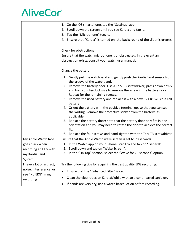|                                                                                             | 1. On the iOS smartphone, tap the "Settings" app.<br>2. Scroll down the screen until you see Kardia and tap it.<br>Tap the "Microphone" toggle.<br>3.<br>4. Ensure that "Kardia" is turned on (the background of the slider is green).                         |  |  |  |
|---------------------------------------------------------------------------------------------|----------------------------------------------------------------------------------------------------------------------------------------------------------------------------------------------------------------------------------------------------------------|--|--|--|
|                                                                                             | <b>Check for obstructions</b><br>Ensure that the watch microphone is unobstructed. In the event an<br>obstruction exists, consult your watch user manual.                                                                                                      |  |  |  |
|                                                                                             | Change the battery                                                                                                                                                                                                                                             |  |  |  |
|                                                                                             | 1. Gently pull the watchband and gently push the KardiaBand sensor from<br>the groove of the watchband.                                                                                                                                                        |  |  |  |
|                                                                                             | 2. Remove the battery door. Use a Torx T3 screwdriver, press down firmly<br>and turn counterclockwise to remove the screw in the battery door.<br>Repeat for the remaining screws.                                                                             |  |  |  |
|                                                                                             | 3. Remove the used battery and replace it with a new 3V CR1620 coin cell<br>battery.                                                                                                                                                                           |  |  |  |
|                                                                                             | 4. Orient the battery with the positive terminal up, so that you can see<br>the writing. Remove the protective sticker from the battery, as<br>applicable.                                                                                                     |  |  |  |
|                                                                                             | 5. Replace the battery door; note that the battery door only fits in one<br>orientation and you may need to rotate the door to achieve the correct<br>fit.                                                                                                     |  |  |  |
|                                                                                             | 6. Replace the four screws and hand-tighten with the Torx T3 screwdriver.                                                                                                                                                                                      |  |  |  |
| My Apple Watch face<br>goes black when<br>recording an EKG with<br>my KardiaBand<br>System. | Ensure that the Apple Watch wake screen is set to 70 seconds.<br>In the Watch app on your iPhone, scroll to and tap on "General".<br>1.<br>Scroll down and tap on "Wake Screen".<br>2.<br>3. In the "On Tap" section, select the "Wake for 70 seconds" option. |  |  |  |
| I have a lot of artifact,                                                                   | Try the following tips for acquiring the best quality EKG recording:                                                                                                                                                                                           |  |  |  |
| noise, interference, or<br>see "No EKG" in my                                               | Ensure that the "Enhanced Filter" is on.                                                                                                                                                                                                                       |  |  |  |
| recording                                                                                   | Clean the electrodes on KardiaMobile with an alcohol-based sanitizer.                                                                                                                                                                                          |  |  |  |
|                                                                                             | If hands are very dry, use a water-based lotion before recording.                                                                                                                                                                                              |  |  |  |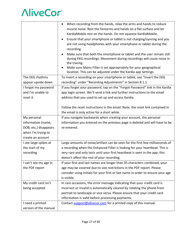|                                                       | When recording from the hands, relax the arms and hands to reduce<br>muscle noise. Rest the forearms and hands on a flat surface and let<br>KardiaMobile rest on the hands. Do not squeeze KardiaMobile.<br>Ensure that your smartphone or tablet is not charging/syncing and you<br>are not using headphones with your smartphone or tablet during the<br>recording.<br>Make sure that both the smartphone or tablet and the user remain still<br>during EKG recordings. Movement during recordings will cause noise in<br>the tracing.<br>Make sure Mains Filter is set appropriately for your geographical<br>location. This can be adjusted under the Kardia app Settings. |
|-------------------------------------------------------|--------------------------------------------------------------------------------------------------------------------------------------------------------------------------------------------------------------------------------------------------------------------------------------------------------------------------------------------------------------------------------------------------------------------------------------------------------------------------------------------------------------------------------------------------------------------------------------------------------------------------------------------------------------------------------|
| The EKG rhythms<br>appear upside down                 | To invert a recording on your smartphone or tablet, see "Invert the EKG<br>recording" under "Recording Adjustments" in Section 8.1.1.                                                                                                                                                                                                                                                                                                                                                                                                                                                                                                                                          |
| I forgot my password<br>and I'm unable to<br>reset it | If you forget your password, tap on the "Forgot Password" link in the Kardia<br>app login screen. We'll send a link and further instructions to the email<br>address that you used to set up and access Kardia.                                                                                                                                                                                                                                                                                                                                                                                                                                                                |
|                                                       | Follow the reset instructions in the email. Note, the reset link contained in<br>the email is only active for a short while.                                                                                                                                                                                                                                                                                                                                                                                                                                                                                                                                                   |
| My personal                                           | If you navigate backwards when creating your account, the personal                                                                                                                                                                                                                                                                                                                                                                                                                                                                                                                                                                                                             |
|                                                       |                                                                                                                                                                                                                                                                                                                                                                                                                                                                                                                                                                                                                                                                                |
| information (name,                                    | information you entered on the previous page is deleted and will have to be                                                                                                                                                                                                                                                                                                                                                                                                                                                                                                                                                                                                    |
| DOB, etc.) disappears                                 | re-entered.                                                                                                                                                                                                                                                                                                                                                                                                                                                                                                                                                                                                                                                                    |
| when I'm trying to                                    |                                                                                                                                                                                                                                                                                                                                                                                                                                                                                                                                                                                                                                                                                |
| create an account                                     |                                                                                                                                                                                                                                                                                                                                                                                                                                                                                                                                                                                                                                                                                |
| I see large spikes at                                 | Large amounts of noise/artifact can be seen for the first few milliseconds of                                                                                                                                                                                                                                                                                                                                                                                                                                                                                                                                                                                                  |
| the start of my                                       | a recording when the Enhanced Filter is looking for your heartbeat. This is                                                                                                                                                                                                                                                                                                                                                                                                                                                                                                                                                                                                    |
| recording                                             | very rare and only lasts until your first heartbeat is seen in the app; this                                                                                                                                                                                                                                                                                                                                                                                                                                                                                                                                                                                                   |
|                                                       | doesn't affect the rest of your recording.                                                                                                                                                                                                                                                                                                                                                                                                                                                                                                                                                                                                                                     |
| I can't see my age in                                 | If your first and last names are longer than 35 characters combined, your                                                                                                                                                                                                                                                                                                                                                                                                                                                                                                                                                                                                      |
| the PDF report                                        | age may be covered due to size restrictions in the PDF report. Please                                                                                                                                                                                                                                                                                                                                                                                                                                                                                                                                                                                                          |
|                                                       | consider using initials for your first or last name in order to ensure your age                                                                                                                                                                                                                                                                                                                                                                                                                                                                                                                                                                                                |
|                                                       | is visible.                                                                                                                                                                                                                                                                                                                                                                                                                                                                                                                                                                                                                                                                    |
| My credit card isn't                                  | In rare occasions, the error message indicating that your credit card is                                                                                                                                                                                                                                                                                                                                                                                                                                                                                                                                                                                                       |
| being accepted                                        | incorrect or invalid is automatically cleared by rotating the phone from                                                                                                                                                                                                                                                                                                                                                                                                                                                                                                                                                                                                       |
|                                                       | portrait to landscape or vice versa. Please ensure that your credit card                                                                                                                                                                                                                                                                                                                                                                                                                                                                                                                                                                                                       |
|                                                       | information is valid before processing payments.                                                                                                                                                                                                                                                                                                                                                                                                                                                                                                                                                                                                                               |
| I need a printed<br>version of the manual             | Contact support@alivecor.com for a printed copy of this manual.                                                                                                                                                                                                                                                                                                                                                                                                                                                                                                                                                                                                                |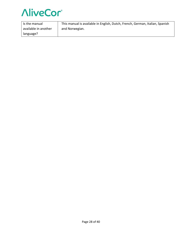

| Is the manual        | This manual is available in English, Dutch, French, German, Italian, Spanish |
|----------------------|------------------------------------------------------------------------------|
| available in another | and Norwegian.                                                               |
| language?            |                                                                              |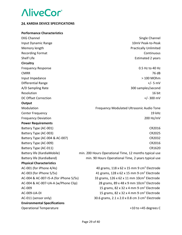### **24. KARDIA DEVICE SPECIFICATIONS**

| <b>Performance Characteristics</b>     |                                                                        |
|----------------------------------------|------------------------------------------------------------------------|
| <b>EKG Channel</b>                     | Single Channel                                                         |
| Input Dynamic Range                    | 10mV Peak-to-Peak                                                      |
| Memory length                          | <b>Practically Unlimited</b>                                           |
| <b>Recording Format</b>                | Continuous                                                             |
| Shelf Life                             | <b>Estimated 2 years</b>                                               |
| <b>Circuitry</b>                       |                                                                        |
| <b>Frequency Response</b>              | 0.5 Hz to 40 Hz                                                        |
| <b>CMRR</b>                            | 76 dB                                                                  |
| Input Impedance                        | > 100 MOhm                                                             |
| Differential Range                     | +/- 5 mV                                                               |
| A/D Sampling Rate                      | 300 samples/second                                                     |
| Resolution                             | 16 bit                                                                 |
| <b>DC Offset Correction</b>            | $+/- 300$ mV                                                           |
| Output                                 |                                                                        |
| Modulation                             | Frequency Modulated Ultrasonic Audio Tone                              |
| <b>Center Frequency</b>                | 19 kHz                                                                 |
| <b>Frequency Deviation</b>             | 200 Hz/mV                                                              |
| <b>Power Requirements</b>              |                                                                        |
| Battery Type (AC-001)                  | CR2016                                                                 |
| Battery Type (AC-003)                  | CR2025                                                                 |
| Battery Type (AC-004 & AC-007)         | CR2032                                                                 |
| Battery Type (AC-009)                  | CR2016                                                                 |
| Battery Type (AC-011)                  | CR1620                                                                 |
| Battery life (KardiaMobile)            | min. 200 Hours Operational Time, 12 months typical use                 |
| Battery life (KardiaBand)              | min. 90 Hours Operational Time, 2 years typical use                    |
| <b>Physical Characteristics</b>        |                                                                        |
| AC-001 (for iPhone 4/4s)               | 40 grams, $118 \times 62 \times 15$ mm 9 cm <sup>2</sup> Electrode     |
| AC-003 (for iPhone 5/5s)               | 41 grams, $128 \times 62 \times 15$ mm 9 cm <sup>2</sup> Electrode     |
| AC-004 & AC-007-15-A (for iPhone 5/5s) | 33 grams, $126 \times 62 \times 11$ mm $10 \text{cm}^2$ Electrode      |
| AC-004 & AC-007-UA-A (w/Phone Clip)    | 28 grams, 89 x 48 x 9 mm 10cm <sup>2</sup> Electrode                   |
| AC-009                                 | 15 grams, 82 x 32 x 4 mm 9 cm <sup>2</sup> Electrode                   |
| <b>AC-009-UA-DI</b>                    | 15 grams, 82 x 32 x 4 mm 9 cm <sup>2</sup> Electrode                   |
| AC-011 (sensor only)                   | 30.6 grams, $2.1 \times 2.0 \times 0.8$ cm 3 cm <sup>2</sup> Electrode |
| <b>Environmental Specifications</b>    |                                                                        |
| <b>Operational Temperature</b>         | $+10$ to $+45$ degrees C                                               |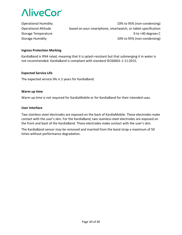

Operational Humidity 10% to 95% (non-condensing) Operational Altitude based on your smartphone, smartwatch, or tablet specification Storage Temperature **Contract Contract Contract Contract Contract Contract Contract Contract Contract Contract Contract Contract Contract Contract Contract Contract Contract Contract Contract Contract Contract Contract Con** Storage Humidity 10% to 95% (non-condensing)

#### **Ingress Protection Marking**

KardiaBand is IP64 rated, meaning that it is splash resistant but that submerging it in water is not recommended. KardiaBand is compliant with standard IEC60601-1-11:2015.

#### **Expected Service Life**

The expected service life is 2 years for KardiaBand.

#### **Warm up time**

Warm up time is not required for KardiaMobile or for KardiaBand for their intended uses.

#### **User Interface**

Two stainless-steel electrodes are exposed on the back of KardiaMobile. These electrodes make contact with the user's skin. For the KardiaBand, two stainless-steel electrodes are exposed on the front and back of the KardiaBand. These electrodes make contact with the user's skin.

The KardiaBand sensor may be removed and inserted from the band strap a maximum of 50 times without performance degradation.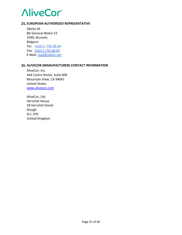### **EUROPEAN AUTHORIZED REPRESENTATIVE**

Obelis SA BD General Wahis 53 1030, Brussels Belgium Tel: [+\(32\) 2. 732.59.54](about:blank) Fax: [+\(32\) 2.732.60.03](about:blank) E-Mail: [mail@obelis.net](mailto:mail@obelis.net)

### **ALIVECOR (MANUFACTURER) CONTACT INFORMATION**

AliveCor, Inc. 444 Castro Street, Suite 600 Mountain View, CA 94041 United States [www.alivecor.com](http://www.alivecor.com/)

AliveCor, Ltd. Herschel House 58 Herschel Street Slough SL1 1PG United Kingdom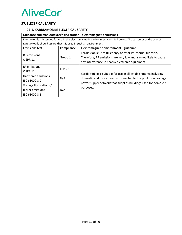### **ELECTRICAL SAFETY**

### **27.1. KARDIAMOBILE ELECTRICAL SAFETY**

| Guidance and manufacturer's declaration - electromagnetic emissions |            |                                                                                                                  |  |  |
|---------------------------------------------------------------------|------------|------------------------------------------------------------------------------------------------------------------|--|--|
|                                                                     |            | KardiaMobile is intended for use in the electromagnetic environment specified below. The customer or the user of |  |  |
| KardiaMobile should assure that it is used in such an environment.  |            |                                                                                                                  |  |  |
| <b>Emissions test</b>                                               | Compliance | Electromagnetic environment - guidance                                                                           |  |  |
| <b>RF</b> emissions                                                 |            | KardiaMobile uses RF energy only for its internal function.                                                      |  |  |
| CISPR <sub>11</sub>                                                 | Group 1    | Therefore, RF emissions are very low and are not likely to cause                                                 |  |  |
|                                                                     |            | any interference in nearby electronic equipment.                                                                 |  |  |
| <b>RF</b> emissions                                                 | Class B    |                                                                                                                  |  |  |
| CISPR 11                                                            |            |                                                                                                                  |  |  |
| Harmonic emissions                                                  |            | KardiaMobile is suitable for use in all establishments including                                                 |  |  |
| IEC 61000-3-2                                                       | N/A        | domestic and those directly connected to the public low-voltage                                                  |  |  |
| Voltage fluctuations /                                              |            | power supply network that supplies buildings used for domestic                                                   |  |  |
| flicker emissions                                                   | N/A        | purposes.                                                                                                        |  |  |
| IEC 61000-3-3                                                       |            |                                                                                                                  |  |  |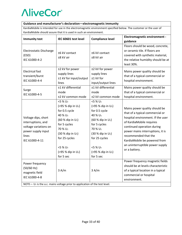#### **Guidance and manufacturer's declaration—electromagnetic immunity**

KardiaMobile is intended for use in the electromagnetic environment specified below. The customer or the user of KardiaMobile should assure that it is used in such an environment.

| <b>Immunity test</b>                                                                                                | IEC 60601 test level                                                                                                                                                                                                                                            | <b>Compliance level</b>                                                                                                                                                                                                                                                    | <b>Electromagnetic environment -</b><br>guidance                                                                                                                                                                                                                                                                |
|---------------------------------------------------------------------------------------------------------------------|-----------------------------------------------------------------------------------------------------------------------------------------------------------------------------------------------------------------------------------------------------------------|----------------------------------------------------------------------------------------------------------------------------------------------------------------------------------------------------------------------------------------------------------------------------|-----------------------------------------------------------------------------------------------------------------------------------------------------------------------------------------------------------------------------------------------------------------------------------------------------------------|
| Electrostatic Discharge<br>(ESD)<br>IEC 61000-4-2                                                                   | ±6 kV contact<br>$±8$ kV air                                                                                                                                                                                                                                    | ±6 kV contact<br>$±8$ kV air                                                                                                                                                                                                                                               | Floors should be wood, concrete,<br>or ceramic tile. If floors are<br>covered with synthetic material,<br>the relative humidity should be at<br>least 30%.                                                                                                                                                      |
| <b>Electrical fast</b><br>transient/burst<br>IEC 61000-4-4                                                          | ±2 kV for power<br>supply lines<br>±1 kV for input/output<br>lines<br>±1 kV differential                                                                                                                                                                        | ±2 kV for power<br>supply lines<br>±1 kV for<br>input/output lines<br>±1 kV differential                                                                                                                                                                                   | Mains power quality should be<br>that of a typical commercial or<br>hospital environment.<br>Mains power quality should be                                                                                                                                                                                      |
| Surge<br>IEC 61000-4-5                                                                                              | mode<br>±2 kV common mode                                                                                                                                                                                                                                       | mode<br>±2 kV common mode                                                                                                                                                                                                                                                  | that of a typical commercial or<br>hospital environment.                                                                                                                                                                                                                                                        |
| Voltage dips, short<br>interruptions, and<br>voltage variations on<br>power supply input<br>lines<br>IEC 61000-4-11 | $<$ 5 % U <sub>T</sub><br>(>95 % dip in $U_T$ )<br>for 0.5 cycle<br>40 % U <sub>T</sub><br>(60 % dip in $U_T$ )<br>for 5 cycles<br>70 % U <sub>T</sub><br>(30 % dip in $U_T$ )<br>for 25 cycles<br>$<$ 5 % U <sub>T</sub><br>(>95 % dip in $U_T$ )<br>for 5 sec | $<$ 5 % U <sub>T</sub><br>(>95 % dip in $U_T$ )<br>for 0.5 cycle<br>40 % U <sub>T</sub><br>(60 % dip in $U_T$ )<br>for 5 cycles<br>70 % U <sub>T</sub><br>$(30 %$ dip in U <sub>T</sub> )<br>for 25 cycles<br>$<$ 5 % U <sub>T</sub><br>(>95 % dip in $U_T$ )<br>for 5 sec | Mains power quality should be<br>that of a typical commercial or<br>hospital environment. If the user<br>of KardiaMobile requires<br>continued operation during<br>power mains interruptions, it is<br>recommended that the<br>KardiaMobile be powered from<br>an uninterruptible power supply<br>or a battery. |
| Power frequency<br>(50/60 Hz)<br>magnetic field<br>IEC 61000-4-8                                                    | 3 A/m<br>NOTE $-U_T$ is the a.c. mains voltage prior to application of the test level.                                                                                                                                                                          | 3 A/m                                                                                                                                                                                                                                                                      | Power frequency magnetic fields<br>should be at levels characteristic<br>of a typical location in a typical<br>commercial or hospital<br>environment.                                                                                                                                                           |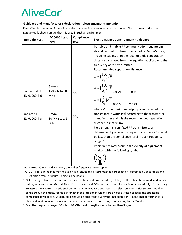| Guidance and manufacturer's declaration-electromagnetic immunity                                                 |                                                                        |                     |                                                                                                                                                                                                                                                                                                                                                                                                                                                                                                                                                                                                                                                                                                                                                                                                                                                                                                                                                                                  |  |  |
|------------------------------------------------------------------------------------------------------------------|------------------------------------------------------------------------|---------------------|----------------------------------------------------------------------------------------------------------------------------------------------------------------------------------------------------------------------------------------------------------------------------------------------------------------------------------------------------------------------------------------------------------------------------------------------------------------------------------------------------------------------------------------------------------------------------------------------------------------------------------------------------------------------------------------------------------------------------------------------------------------------------------------------------------------------------------------------------------------------------------------------------------------------------------------------------------------------------------|--|--|
| KardiaMobile is intended for use in the electromagnetic environment specified below. The customer or the user of |                                                                        |                     |                                                                                                                                                                                                                                                                                                                                                                                                                                                                                                                                                                                                                                                                                                                                                                                                                                                                                                                                                                                  |  |  |
| KardiaMobile should assure that it is used in such an environment.                                               |                                                                        |                     |                                                                                                                                                                                                                                                                                                                                                                                                                                                                                                                                                                                                                                                                                                                                                                                                                                                                                                                                                                                  |  |  |
| <b>Immunity test</b>                                                                                             | <b>IEC 60601 test</b><br>level                                         | Compliance<br>level | Electromagnetic environment - guidance                                                                                                                                                                                                                                                                                                                                                                                                                                                                                                                                                                                                                                                                                                                                                                                                                                                                                                                                           |  |  |
| <b>Conducted RF</b><br>IEC 61000-4-6<br><b>Radiated RF</b><br>IEC 61000-4-3                                      | 3 Vrms<br>150 kHz to 80<br><b>MHz</b><br>3 V/m<br>80 MHz to 2.5<br>GHz | 3V<br>3 V/m         | Portable and mobile RF communications equipment<br>should be used no closer to any part of KardiaMobile,<br>including cables, than the recommended separation<br>distance calculated from the equation applicable to the<br>frequency of the transmitter.<br><b>Recommended separation distance</b><br>$d = \left[\frac{3.5}{V_1}\right] \sqrt{P}$<br>$d = \left[\frac{3.5}{E_1}\right] \sqrt{P}$<br>$d = \left[\frac{7}{E_1}\right] \sqrt{P}$<br>80 MHz to 800 MHz<br>800 MHz to 2.5 GHz<br>where $P$ is the maximum output power rating of the<br>transmitter in watts (W) according to the transmitter<br>manufacturer and $d$ is the recommended separation<br>distance in meters (m).<br>Field strengths from fixed RF transmitters, as<br>determined by an electromagnetic site survey, a should<br>be less than the compliance level in each frequency<br>range. <sup>b</sup><br>Interference may occur in the vicinity of equipment<br>marked with the following symbol: |  |  |

NOTE 1**—**At 80 MHz and 800 MHz, the higher frequency range applies.

NOTE 2**—**These guidelines may not apply in all situations. Electromagnetic propagation is affected by absorption and reflection from structures, objects, and people

a Field strengths from fixed transmitters, such as base stations for radio (cellular/cordless) telephones and land mobile radios, amateur radio, AM and FM radio broadcast, and TV broadcast cannot be predicted theoretically with accuracy. To assess the electromagnetic environment due to fixed RF transmitters, an electromagnetic site survey should be considered. If the measured field strength in the location in which KardiaMobile is used exceeds the applicable RF compliance level above, KardiaMobile should be observed to verify normal operation. If abnormal performance is observed, additional measures may be necessary, such as re-orienting or relocating KardiaMobile.

b Over the frequency range 150 kHz to 80 MHz, field strengths should be less than 3 V/m.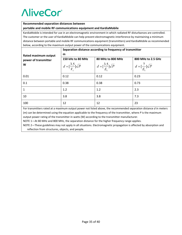#### **Recommended separation distances between**

#### **portable and mobile RF communications equipment and KardiaMobile**

KardiaMobile is intended for use in an electromagnetic environment in which radiated RF disturbances are controlled. The customer or the user of KardiaMobile can help prevent electromagnetic interference by maintaining a minimum distance between portable and mobile RF communications equipment (transmitters) and KardiaMobile as recommended below, according to the maximum output power of the communications equipment.

|                      | Separation distance according to frequency of transmitter |                                           |                                         |  |  |
|----------------------|-----------------------------------------------------------|-------------------------------------------|-----------------------------------------|--|--|
| Rated maximum output | m                                                         |                                           |                                         |  |  |
| power of transmitter | 150 kHz to 80 MHz                                         | 80 MHz to 800 MHz                         | 800 MHz to 2.5 GHz                      |  |  |
| W                    | $d = \left[\frac{3.5}{V}\right] \sqrt{P}$                 | $d = \left[\frac{3.5}{E}\right] \sqrt{P}$ | $d = \left[\frac{7}{E}\right] \sqrt{P}$ |  |  |
| 0.01                 | 0.12                                                      | 0.12                                      | 0.23                                    |  |  |
| 0.1                  | 0.38                                                      | 0.38                                      | 0.73                                    |  |  |
| 1                    | 1.2                                                       | 1.2                                       | 2.3                                     |  |  |
| 10                   | 3.8                                                       | 3.8                                       | 7.3                                     |  |  |
| 100                  | 12                                                        | 12                                        | 23                                      |  |  |

For transmitters rated at a maximum output power not listed above, the recommended separation distance *d* in meters (m) can be determined using the equation applicable to the frequency of the transmitter, where *P* is the maximum

output power rating of the transmitter in watts (W) according to the transmitter manufacturer.

NOTE 1—At 80 MHz and 800 MHz, the separation distance for the higher frequency range applies.

NOTE 2—These guidelines may not apply in all situations. Electromagnetic propagation is affected by absorption and reflection from structures, objects, and people.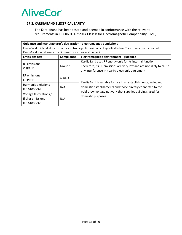

### **27.2. KARDIABAND ELECTRICAL SAFETY**

The KardiaBand has been tested and deemed in conformance with the relevant requirements in IEC60601-1-2:2014 Class B for Electromagnetic Compatibility (EMC).

| Guidance and manufacturer's declaration - electromagnetic emissions                                            |            |                                                                      |  |  |
|----------------------------------------------------------------------------------------------------------------|------------|----------------------------------------------------------------------|--|--|
| KardiaBand is intended for use in the electromagnetic environment specified below. The customer or the user of |            |                                                                      |  |  |
| KardiaBand should assure that it is used in such an environment.                                               |            |                                                                      |  |  |
| <b>Emissions test</b>                                                                                          | Compliance | Electromagnetic environment - guidance                               |  |  |
| <b>RF</b> emissions                                                                                            |            | KardiaBand uses RF energy only for its internal function.            |  |  |
|                                                                                                                | Group 1    | Therefore, its RF emissions are very low and are not likely to cause |  |  |
| CISPR <sub>11</sub>                                                                                            |            | any interference in nearby electronic equipment.                     |  |  |
| <b>RF</b> emissions                                                                                            | Class B    |                                                                      |  |  |
| CISPR <sub>11</sub>                                                                                            |            |                                                                      |  |  |
| Harmonic emissions                                                                                             |            | KardiaBand is suitable for use in all establishments, including      |  |  |
| IEC 61000-3-2                                                                                                  | N/A        | domestic establishments and those directly connected to the          |  |  |
| Voltage fluctuations /                                                                                         |            | public low-voltage network that supplies buildings used for          |  |  |
| flicker emissions                                                                                              | N/A        | domestic purposes.                                                   |  |  |
| IEC 61000-3-3                                                                                                  |            |                                                                      |  |  |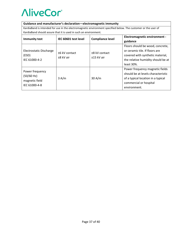#### **Guidance and manufacturer's declaration—electromagnetic immunity**

KardiaBand is intended for use in the electromagnetic environment specified below. The customer or the user of KardiaBand should assure that it is used in such an environment.

| <b>Immunity test</b>                                             | IEC 60601 test level           | <b>Compliance level</b>       | <b>Electromagnetic environment -</b><br>guidance                                                                                                           |
|------------------------------------------------------------------|--------------------------------|-------------------------------|------------------------------------------------------------------------------------------------------------------------------------------------------------|
| Electrostatic Discharge<br>(ESD)<br>IEC 61000-4-2                | $±6$ kV contact<br>$±8$ kV air | ±8 kV contact<br>$±15$ kV air | Floors should be wood, concrete,<br>or ceramic tile. If floors are<br>covered with synthetic material,<br>the relative humidity should be at<br>least 30%. |
| Power frequency<br>(50/60 Hz)<br>magnetic field<br>IEC 61000-4-8 | 3 A/m                          | 30 A/m                        | Power frequency magnetic fields<br>should be at levels characteristic<br>of a typical location in a typical<br>commercial or hospital<br>environment.      |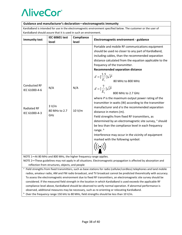| Guidance and manufacturer's declaration-electromagnetic immunity                                               |                                      |                     |                                                                                                                                                                                                                                                                                                                                                                                                                                                                                                                                                                                                                                                                                                                                                                                                                                                                                                                  |  |  |  |
|----------------------------------------------------------------------------------------------------------------|--------------------------------------|---------------------|------------------------------------------------------------------------------------------------------------------------------------------------------------------------------------------------------------------------------------------------------------------------------------------------------------------------------------------------------------------------------------------------------------------------------------------------------------------------------------------------------------------------------------------------------------------------------------------------------------------------------------------------------------------------------------------------------------------------------------------------------------------------------------------------------------------------------------------------------------------------------------------------------------------|--|--|--|
| KardiaBand is intended for use in the electromagnetic environment specified below. The customer or the user of |                                      |                     |                                                                                                                                                                                                                                                                                                                                                                                                                                                                                                                                                                                                                                                                                                                                                                                                                                                                                                                  |  |  |  |
| KardiaBand should assure that it is used in such an environment.                                               |                                      |                     |                                                                                                                                                                                                                                                                                                                                                                                                                                                                                                                                                                                                                                                                                                                                                                                                                                                                                                                  |  |  |  |
| <b>Immunity test</b>                                                                                           | <b>IEC 60601 test</b><br>level       | Compliance<br>level | Electromagnetic environment - guidance                                                                                                                                                                                                                                                                                                                                                                                                                                                                                                                                                                                                                                                                                                                                                                                                                                                                           |  |  |  |
| <b>Conducted RF</b><br>IEC 61000-4-6<br><b>Radiated RF</b><br>IEC 61000-4-3                                    | N/A<br>3 V/m<br>80 MHz to 2.7<br>GHz | N/A<br>10 V/m       | Portable and mobile RF communications equipment<br>should be used no closer to any part of KardiaBand,<br>including cables, than the recommended separation<br>distance calculated from the equation applicable to the<br>frequency of the transmitter.<br><b>Recommended separation distance</b><br>$d = [\frac{3.5}{E_1}]\sqrt{P}$ 80 MHz to 800 MHz<br>$d = \left[\frac{7}{E_1}\right] \sqrt{P}$<br>800 MHz to 2.7 GHz<br>where $P$ is the maximum output power rating of the<br>transmitter in watts (W) according to the transmitter<br>manufacturer and $d$ is the recommended separation<br>distance in meters (m).<br>Field strengths from fixed RF transmitters, as<br>determined by an electromagnetic site survey, a should<br>be less than the compliance level in each frequency<br>range. <sup>b</sup><br>Interference may occur in the vicinity of equipment<br>marked with the following symbol: |  |  |  |

NOTE 1**—**At 80 MHz and 800 MHz, the higher frequency range applies.

NOTE 2**—**These guidelines may not apply in all situations. Electromagnetic propagation is affected by absorption and reflection from structures, objects, and people

<sup>a</sup> Field strengths from fixed transmitters, such as base stations for radio (cellular/cordless) telephones and land mobile radios, amateur radio, AM and FM radio broadcast, and TV broadcast cannot be predicted theoretically with accuracy. To assess the electromagnetic environment due to fixed RF transmitters, an electromagnetic site survey should be considered. If the measured field strength in the location in which KardiaBand is used exceeds the applicable RF compliance level above, KardiaBand should be observed to verify normal operation. If abnormal performance is observed, additional measures may be necessary, such as re-orienting or relocating KardiaBand.

 $b$  Over the frequency range 150 kHz to 80 MHz, field strengths should be less than 10 V/m.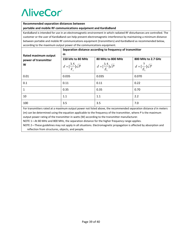#### **Recommended separation distances between**

#### **portable and mobile RF communications equipment and KardiaBand**

KardiaBand is intended for use in an electromagnetic environment in which radiated RF disturbances are controlled. The customer or the user of KardiaBand can help prevent electromagnetic interference by maintaining a minimum distance between portable and mobile RF communications equipment (transmitters) and KardiaBand as recommended below, according to the maximum output power of the communications equipment.

|                      | Separation distance according to frequency of transmitter |                                           |                                         |  |
|----------------------|-----------------------------------------------------------|-------------------------------------------|-----------------------------------------|--|
| Rated maximum output | m                                                         |                                           |                                         |  |
| power of transmitter | 150 kHz to 80 MHz                                         | 80 MHz to 800 MHz                         | 800 MHz to 2.7 GHz                      |  |
| W                    | $d = \left[\frac{3.5}{V}\right] \sqrt{P}$                 | $d = \left[\frac{3.5}{E}\right] \sqrt{P}$ | $d = \left[\frac{7}{E}\right] \sqrt{P}$ |  |
| 0.01                 | 0.035                                                     | 0.035                                     | 0.070                                   |  |
| 0.1                  | 0.11                                                      | 0.11                                      | 0.22                                    |  |
| 1                    | 0.35                                                      | 0.35                                      | 0.70                                    |  |
| 10                   | 1.1                                                       | 1.1                                       | 2.2                                     |  |
| 100                  | 3.5                                                       | 3.5                                       | 7.0                                     |  |

For transmitters rated at a maximum output power not listed above, the recommended separation distance *d* in meters (m) can be determined using the equation applicable to the frequency of the transmitter, where *P* is the maximum

output power rating of the transmitter in watts (W) according to the transmitter manufacturer.

NOTE 1—At 80 MHz and 800 MHz, the separation distance for the higher frequency range applies.

NOTE 2—These guidelines may not apply in all situations. Electromagnetic propagation is affected by absorption and reflection from structures, objects, and people.